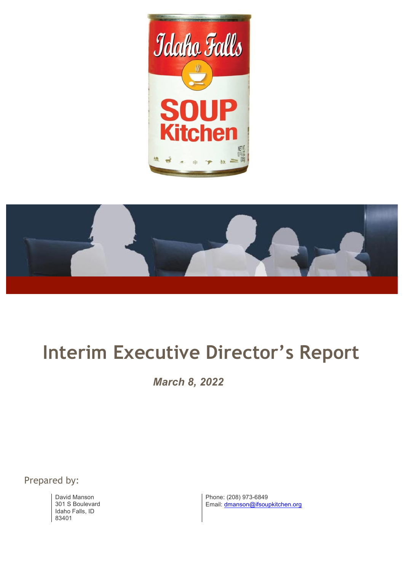



# **Interim Executive Director's Report**

*March 8, 2022*

Prepared by:

David Manson 301 S Boulevard Idaho Falls, ID 83401

Phone: (208) 973-6849 Email: dmanson@ifsoupkitchen.org